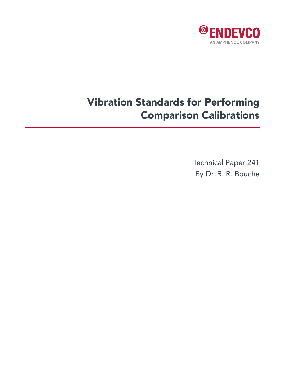

# Vibration Standards for Performing Comparison Calibrations

Technical Paper 241 By Dr. R. R. Bouche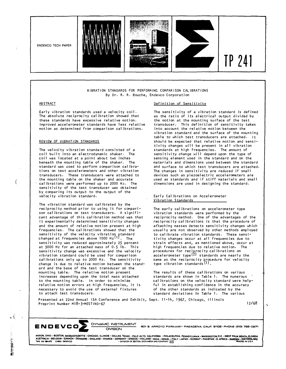

#### VIBRATION STANDARDS FOR PERFORMING COMPARISON CALIBRATIONS By Dr. R. R. Bouche, Endevco Corporation

### ABSTRACT

 $\left($ 

 $\mathbf{r}$ 

Early vibration standards used a velocity coil. The absolute reciprocity calibration showed that these standards have excessive relative motion, Improved accelerometer standards have less relative motion as determined from comparison calibrations.

#### REVIEW OF VIBRATION STANDARDS

The velocity vibration standard consisted of a coil built into an electrodynamic shaker. The coil was located at a point about two inches beneath the mounting table of the shaker, The standard was used to perform comparison cal ibrations on test accelerometers and other vibration transducers. These transducers were attached to the mounting table on the shaker and accurate calibrations were performed up to 2000 Hz. The sensitivity of the test transducer was obtained by comparing its output to the output of the velocity vibration standard.

The vibration standard was calibrated by the reciprocity method prior to using it for comparison calibrations on test transducers. A significant advantage of this calibration method was that it experimentally determined sensitivity changes and the amount of relative motion present at high frequencies. The calibrations showed that the sensitivity of the velocity vibration standard changed at frequencies above  $1000 \text{ Hz}$ <sup>11</sup>). The sensitivity was reduced approximately 25 percent at 5000 Hz for an attached mass of 0.5 lb. This sensitivity change was excessive and the velocity vibration standard could be used for comparison calibrations only up to 2000 Hz. The sensitivity change is due to relative motion between the standard and the base of the test transducer on the mounting table. The relative motion present increases depending upon the total mass attached to the mounting table, In order to minimize relative motion errors at high frequencies, it is necessary to avoid the use of external fixtures to attach test transducers.

# Definition of Sensitivity

The sensitivity of a vibration standard is defined as the ratio of its electrical output divided by the motion at the mounting surface of the test transducer. This definition of sensitivity takes into account the relative motion between the vibration standard and the surface of the mounting table to which test transducers are attached. It should be expected that relative motion and sensitivity changes will be present in all vibration standards at high frequencies. The amount of sensitivity change will depend upon the type of sensing element used in the standard and on the materials and dimensions used between the standard and surface to which test transducers are attached. The changes in sensitivity are reduced if small devices such as piezoelectric accelerometers are used as standards and if stiff materials and small dimensions are used in designing the standard.

#### Early Calibrations on Accelerometer Vibration Standards

The early calibrations on accelerometer type vibration standards were performed by the reciprocity method. One of the advantages of the reciprocity calibrations is that the procedure of attaching masses detects sensitivity changes which usually are not observed by other methods employed to calibrate vibration standards. These sensitivity changes occur at all frequencies due to strain effects and, as mentioned above, occur at high frequencies due to relative motion. The procedures for reciprocity calibrations on  $accelerometer type<sup>(2)</sup> standards are nearly the$ same as the reciprocity procedure for velocity<br>type vibration standards<sup>(1)</sup>.

The results of these calibrations on various standards are shown in Table 1. The numerous calibrations on the velocity standard were helpful in establishing confidence in the accuracy of the other standards as indicated by the standard deviations in Table 1. The various

Presented at 22nd Annual !SA Conference and Exhibit, Sept. 11-14, 1967, Chicago, Illinois Preprint Number M18-3-MESTIND-67 12/68

ι

**ENDEVCO�** DYNAMIC INSTRUMENT

DIVISION **eo1 9. ARROYO PARKWAY • PASADENA, CALIF. 91109 • PHONE (213) 795-0271** 

AKRON, OHIO • BOSTON, MASSACHUSETTS • CHICAGO, ILLINOIS • DALLAS, TEXAS • PALO ALTO. CALIFORNIA • PHILADELPHIA, PENNSYLVANIA • WASHINGTON,D.C. • WEST PALM BEACH, FLORIDA<br>AUSTRALIA • BELGIUM • CANADA • DENMARK • ENGLAND •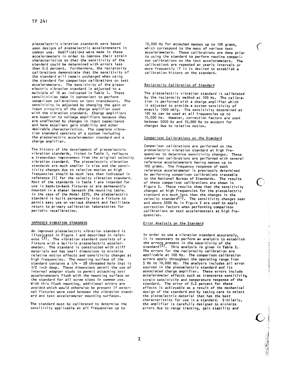piezoelectric vibration standards were based upon designs of piezoelectric accelerometers in common use. Modifications were made in these accelerometers in order to improve their strain characteristics so that the sensitivity of the standard could be determined with errors less than 0.5 percent. Furthermore, the reciprocity calibrations demonstrate that the sensitivity of the standard will remain unchanged when using the standard for comparison calibrations on test accelerometers. The sensitivity of the piezoelectric vibration standard is adjusted to a multiple of 10 as indicated in Table 1. These sensitivities make it convenient to perform comparison calibrations on test transducers. The sensitivity is adjusted by changing the gain or input circuitry of the charge amplifier used with the vibration standard. Charge amplifiers are superior to voltage amplifiers because they are unaffected by changes in input capacitance and have excellent gain stability and other desirable characteristics. The complete vibration standard consists of a system including the piezoelectric accelerometer standard and a charge amplifier.

The history of the development of piezoelectric vibration standards, listed in Table 1, reflects a tremendous improvement from the original velocity vibration standard. The piezoelectric vibration standards are much smaller in size and the sensitivity changes due to relative motion at high frequencies should be much less than indicated in reference (1) for the velocity vibration standard. Most of the standards in Table I are intended for use in back-to-back fixtures or are permanently mounted in a shaker beneath the mounting table. In the case of the Model 2270, the piezoelectric standard is built permanently into a fixture to permit easy use on various shakers and facilitate return to primary calibration laboratories for periodic recalibration.

#### IMPROVED VIBRATION STANDARDS

An improved piezoelectric vibration standard is illustrated in Figure 1 and described in refer-<br>ence  $(3)$ . The vibration standard consists of a fixture with a built-in piezoelectric accelerometer. The standard is constructed with stiff materials and has small dimensions to minimize relative motion effects and sensitivity changes at high frequencies. The mounting surface of the standard contains a  $1/4$  - 28 threaded hole that is 1/2 inch deep. These dimensions permit the use of internal adapter studs to permit attaching test accelerometers flush with the mounting surface on the standard for all screw sizes in common use. With this flush mounting, additional errors are avoided which would otherwise be present if external fixtures were used between the vibration standard and test accelerometer mounting surfaces.

The standard must be calibrated to determine the sensitivity applicable at all frequencies up to

10,000 Hz for attached masses up to 100 grams, which correspond to the mass of various test accelerometers. These calibrations are done prior to using the standard to perform routine comparison calibrations on the test accelerometers. The calibrations are repeated at yearly intervals or more frequently if it is desired to establish a calibration history on the standard.

#### Reciprocity Calibration of Standard

The piezoelectric vibration standard is calibrated by the reciprocity method at 100 Hz. The calibration is performed with a charge amplifier which is adjusted to provide a system sensitivity of exactly 1000 mV/g. The sensitivity determined at 100 Hz can be used at all frequencies up to 10,000 Hz. However, correction factors are used between 5000 Hz and 10,000 Hz to account for changes due to relative motion.

# Comparison Calibrations on the Standard

Comparison calibrations are performed on the piezoelectric vibration standard at high frequencies to determine sensitivity changes. These comparison calibrations are performed with several reference accelerometers having masses up to 100 grams. The frequency response of each reference accelerometer is previously determined by performing comparison calibrations traceable to the National Bureau of Standards. The results of these comparison calibrations are shown in Figure 2. These results show that the sensitivity changes at high frequencies for the piezoelectric standard are much less than the changes in the velocity standard  $\{1\}$ . The sensitivity changes near and above 5000 Hz in Figure 2 are used to apply correction factors when performing comparison calibrations on test accelerometers at high frequencies.

#### Error Analysis on the Standard

In order to use a vibration standard accurately, it is necessary to perform an analysis to establish the errors present in the sensitivity of the<br>standard<sup>(3)</sup>. This analysis is given in Table 2. The errors for the reciprocity calibration are applicable at 100 Hz. The comparison calibration errors apply throughout the operating range from 5 Hz to 10,000 Hz. The analysis includes all error sources in the piezoelectric standard and its associated charge amplifier. These errors include accelerometer effects such as transverse sensitivity, strain sensitivity and temperature response of the standard. The error of 0.2 percent for these effects is achievable as a result of the mechanical design of the standard and by taking care to select the piezoelectric material that has the best characteristics for use in a standard. Similarly, the amplifier is carefully designed to minimize errors due to range tracking, gain stability and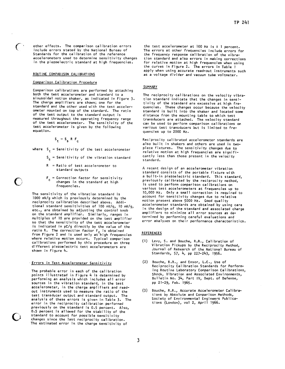other effects. The comparison calibration errors include errors stated by the National Bureau of Standards for the calibration of the reference accelerometers used to determine sensitivity changes in the piezoelectric standard at high frequencies.

# ROUTINE COMPARISON CALIBRATIONS

 $\epsilon$  :

#### Comparison Calibration Procedure

Comparison calibrations are performed by attaching both the test accelerometer and standard to a sinusoidal motion shaker, as indicated in Figure 3. The charge amplifiers are shown; one for the standard and the other used with the test accelerometer mounted on top of the standard. The ratio of the test output to the standard output is measured throughout the operating frequency range of the test accelerometer. The sensitivity of the test accelerometer is given by the following equation.

 $S_t = S_s R F_c$ 

where  $S_{+}$  = Sensitivity of the test accelerometer

- $S_c$  = Sensitivity of the vibration standard
- $R = Ratio of test acceleration$ standard outputs
- $F_{c}$  = Correction factor for sensitivity changes in the standard at high frequencies.

The sensitivity of the vibration standard is 1000 mV/g which is previously determined by the reciprocity calibration described above. Additional standard sensitivities of 100 mV/g, 10 mV/g, etc., are obtained by adjusting the control knob on the standard amplifier. Similarly, ranges in multiples of 10 are provided on the test amplifier so that the sensitivity of the test accelerometer is indicated in pC/g directly by the value of the ratio R. The correction factor F<sub>C</sub> is obtained<br>from Figure 2 and is used only at high frequencies<br>where relative motion occurs. Typical comparison calibrations performed by this procedure on three different piezoelectric test accelerometers are shown in Figure 4.

#### <u>Errors in Test Accelerometer Sensitivity</u>

The probable error in each of the calibration points illustrated in Figure 4 is determined by performing an analysis which includes all error sources in the vibration standard, in the test<br>accelerometer, in the charge amplifiers and readout instruments used to measure the ratio of the test transducer output and standard output. The analysis of these errors is given in Table 3. The error in the reciprocity calibration performed previously on the standard is 0.5 percent. Also, 0.5 percent is allowed for the stability of the standard to account for possible sensitivity changes since the last reciprocity calibration. The estimated error in the charge sensitivity of

the test accelerometer at 100 Hz is  $\pm$  1 percent. The errors at other frequencies include errors for the frequency response calibration of the vibration standard and also errors in making corrections for relative motion at high frequencies when using the curves in Figure 2. The errors in Table 1 apply when using accurate read-out instruments such as a voltage divider and vacuum tube voltmeter.

#### **SUMMARY**

The reciprocity calibrations on the velocity vibration standard indicate that the changes in sensitivity of the standard are excessive at high frequencies. These changes occur because the velocity standard is built into the shaker and located some distance from the mounting table to which test transducers are attached. The velocity standard can be used to perform comparison calibrations on various test transducers but is limited to frequencies up to 2000 Hz.

Reciprocity calibrated accelerometer standards are also built in shakers and others are used in twopiece fixtures. The sensitivity changes due to relative motion at high frequencies are significantly less than those present in the velocity standard.

A recent design of an accelerometer vibration standard consists of the portable fixture with a built-in piezoelectric standard. This standard, previously calibrated by the reciprocity method, is used to perform comparison calibrations on various test accelerometers at frequencies up to 10,000 Hz. Only a small correction is required to account for sensitivity changes due to relative motion present above 5000 Hz. Good quality accelerometer standards are obtained by using care in the design of the standard and associated charge amplifiers to minimize all error sources as determined by performing careful evaluations and error analyses on their performance characteristics.

#### **REFERENCES**

- (1) Levy, S. and Bouche, R.R., Calibration of Vibration Pickups by the Reciprocity Method, Journal of Research of the National Bureau of Standards, 57, 4, pp 227-243, 1956.
- (2) Bouche, R.R., and Ensor, L.C., Use of Reciprocity Calibration Standards for Performing Routine Laboratory Comparison Calibrations, Shock, Vibration and Associated Environments, Bulletin No. 34, Part IV, Dept. of Defense, pp 21-29, Feb. 1965.
- Bouche, R.R., Accurate Accelerometer Calibra- $(3)$ tions by Absolute and Comparison Methods, Society of Environmental Engineers Publications (London), vol 2, April 1966.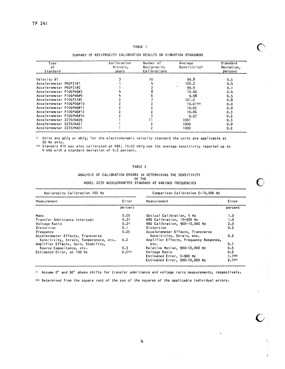#### TABLE 1

# SUMMARY OF RECIPROCITY CALIBRATION RESULTS ON VIBRATION STANDARDS

| Type<br>of<br>Standard   | Calibration<br>History,<br>years | Number of<br>Reciprocity<br>Calibrations | Average<br>Sensitivity* | Standard<br>Deviation,<br>percent |
|--------------------------|----------------------------------|------------------------------------------|-------------------------|-----------------------------------|
|                          |                                  |                                          |                         |                                   |
| Velocity #1              |                                  | 10                                       | 99.8                    | 0.5                               |
| Accelerometer P6SP31#1   |                                  |                                          | 100.2                   | 0.4                               |
| Accelerometer P6SP31#2   |                                  |                                          | 99.9                    | 0.1                               |
| Accelerometer P10SP46#3  |                                  |                                          | 10.00                   | 0.4                               |
| Accelerometer P10SP46#4  |                                  |                                          | 9.98                    | 0.5                               |
| Accelerometer P10SP31#5  |                                  |                                          | 101.0                   | 0.8                               |
| Accelerometer P10SP46#10 |                                  |                                          | $10.01**$               | 0.0                               |
| Accelerometer P10SP46#11 |                                  |                                          | 10.05                   | 0.0                               |
| Accelerometer P10SP46#12 |                                  |                                          | 10.04                   | 0.3                               |
| Accelerometer P10SP46#14 |                                  |                                          | 9.97                    | 0.2                               |
| Accelerometer 2270/NA09  |                                  |                                          | 1001                    | 0.3                               |
| Accelerometer 2270/NA21  |                                  |                                          | 1000                    | 0.0                               |
| Accelerometer 2270/MA01  |                                  |                                          | 1000                    | 0.2                               |

 $\mathcal{L}_{\mathcal{C}}$ Units are pC/g or mV/g; for the electrodynamic velocity standard the units are applicable at 50 Hz only.

\*\* Standard #10 was also calibrated at NBS; 10.02 mV/g was the average sensitivity reported up to 4 kHz with a standard deviation of 0.5 percent.

#### TABLE 2

#### ANALYSIS OF CALIBRATION ERRORS IN DETERMINING THE SENSITIVITY OF THE MODEL 2270 ACCELEROMETER STANDARD AT VARIOUS FREQUENCIES

Reciprocity Calibration 100 Hz Comparison Calibration 5-10,000 Hz Measurement Error Measurement Error percent percent  $0.05$ Optical Calibration, 5 Hz  $1.0$ Mass NBS Calibration, 10-900 Hz<br>NBS Calibration, 900-10,000 Hz Transfer Admittance Intercept  $0.2 1.0$ Voltage Ratio  $0.2\pi$  $2.0$ Distortion  $0.1$ Distortion  $0.2$ Accelerometer Effects, Transverse  $0.05$ Frequency Accelerometer Effects, Transverse Sensitivity, Strain, etc.  $0.2$ Sensitivity, Strain, Temperature, etc.  $0.2$ Amplifier Effects, Frequency Response, Amplifier Effects, Gain, Stability,  $0.1$ etc.  $0.3$ Relative Motion, 900-10,000 Hz  $0.5$ Source Capacitance, etc. Estimated Error, at 100 Hz  $0.5 -$ Voltage Ratio  $0.2$ Estimated Error, 5-900 Hz<br>Estimated Error, 900-10,000 Hz  $1.1**$  $2.1**$ 

\* Assume 0° and 90° phase shifts for transfer admittance and voltage ratio measurements, respectively.

to Determined from the square root of the sum of the squares of the applicable individual errors.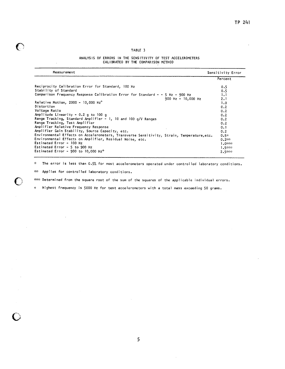# TABLE 3

# ANALYSIS OF ERRORS IN THE SENSITIVITY OF TEST ACCELEROMETERS CALIBRATED BY THE COMPARISON METHOD

| Measurement                                                                                | Sensitivity Error |
|--------------------------------------------------------------------------------------------|-------------------|
|                                                                                            | Percent           |
| Reciprocity Calibration Error for Standard, 100 Hz                                         | 0.5               |
| Stability of Standard                                                                      | 0.5               |
| Comparison Frequency Response Calibration Error for Standard $-$ - 5 Hz - 900 Hz           | 1.1               |
| 900 Hz - 10,000 Hz                                                                         | 2.1               |
| Relative Motion, 2000 - 10,000 $Hz^{+}$                                                    | 1.0               |
| Distortion                                                                                 | 0.2               |
| Voltage Ratio                                                                              | 0.2               |
| Amplitude Linearity - $0.2$ g to 100 g                                                     | 0.2               |
| Range Tracking, Standard Amplifier - 1, 10 and 100 g/V Ranges                              | 0.2               |
| Range Tracking, Test Amplifier                                                             | 0.2               |
| Amplifier Relative Frequency Response                                                      | 0.1               |
| Amplifier Gain Stability, Source Capacity, etc.                                            | 0.2               |
| Environmental Effects on Accelerometers, Transverse Sensitivity, Strain, Temperature, etc. | $0.5*$            |
| Environmental Effects on Amplifier, Residual Noise, etc.                                   | $0.2$ **          |
| Estimated Error - 100 Hz                                                                   | $1.0***$          |
| Estimated Error $-5$ to 900 Hz                                                             | $1.5***$          |
| Estimated Error - 900 to 10,000 $Hz^{+}$                                                   | $2.5$ inter-      |

The error is less than 0.5% for most accelerometers operated under controlled laboratory conditions.  $\frac{d\mu}{d\lambda}$ 

\*\* Applies for controlled laboratory conditions.

€

sock Determined from the square root of the sum of the squares of the applicable individual errors.

 $+$ Highest frequency is 5000 Hz for test accelerometers with a total mass exceeding 50 grams.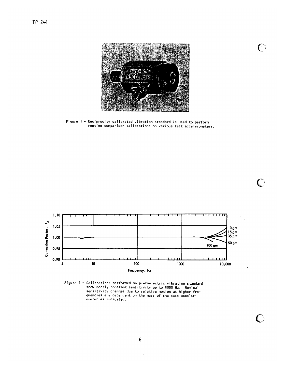

Figure 1 - Reciprocity calibrated vibration standard is used to perform routine comparison calibrations on various test accelerometers.



Figure 2 - Calibrations performed on piezoelectric vibration standard<br>show nearly constant sensitivity up to 5000 Hz. Nominal sensitivity changes due to relative motion at higher frequencies are dependent on the mass of the test accelerometer as indicated.

 $\mathbf C$ 

 $\mathbf C$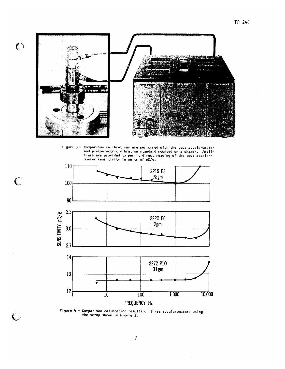

 $\mathbf C$ 

 $\bigcirc$ 

 $\bigcirc$ 

Figure 3 - Comparison calibrations are performed with the test accelerometer and piezoelectric vibration standard mounted on a shaker. Ampli-<br>fiers are provided to permit direct reading of the test acceler-<br>ometer sensitivity in units of pC/g.



Figure  $4$  - Comparison calibration results on three accelerometers using the setup shown in Figure 3.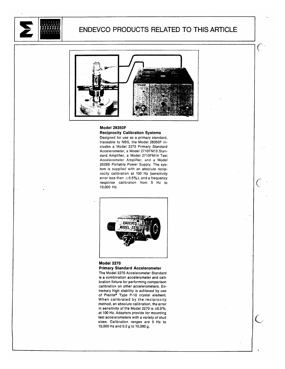

# ENDEVCO PRODUCTS RELATED TO THIS ARTICLE

 $\epsilon$ 



# Model 28350F

# **Reciprocity Calibration Systems**

Designed for use as a primary standard, traceable to NBS, the Model 28350F includes a Model 2270 Primary Standard Accelerometer, a Model 2710FM13 Standard Amplifier, a Model 2710FM14 Test Accelerometer Amplifier, and a Model 2629B Portable Power Supply. The system is supplied with an absolute reciprocity calibration at 100 Hz (sensitivity error less than  $\pm$  0.5%), and a frequency response calibration from 5 Hz to 10,000 Hz.



# **Model 2270 Primary Standard Accelerometer**

The Model 2270 Accelerometer Standard is a combination accelerometer and calibration fixture for performing comparison calibration on other accelerometers. Extremely high stability is achieved by use of Piezite® Type P-10 crystal element. When calibrated by the reciprocity method, an absolute calibration, the error in sensitivity of the Model 2270 is  $\pm 0.5\%$ at 100 Hz. Adapters provide for mounting test accelerometers with a variety of stud sizes. Calibration ranges are 5 Hz to 10,000 Hz and 0.2 g to 10,000 g.